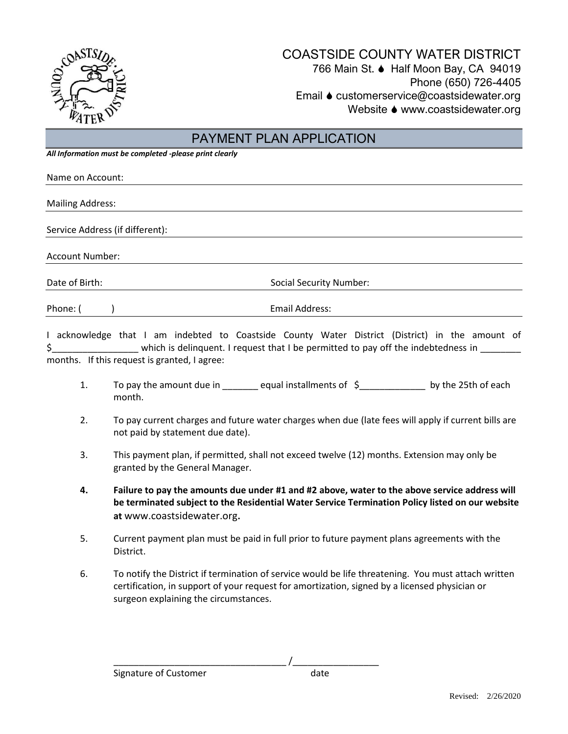

## COASTSIDE COUNTY WATER DISTRICT 766 Main St. ♦ Half Moon Bay, CA 94019 Phone (650) 726-4405 Email ♦ customerservice@coastsidewater.org Website ♦ www.coastsidewater.org

## PAYMENT PLAN APPLICATION

*All Information must be completed -please print clearly*

| Name on Account:                |                                |  |
|---------------------------------|--------------------------------|--|
|                                 |                                |  |
| <b>Mailing Address:</b>         |                                |  |
|                                 |                                |  |
| Service Address (if different): |                                |  |
|                                 |                                |  |
| <b>Account Number:</b>          |                                |  |
|                                 |                                |  |
| Date of Birth:                  | <b>Social Security Number:</b> |  |
| Phone: (                        | Email Address:                 |  |

I acknowledge that I am indebted to Coastside County Water District (District) in the amount of \$\_\_\_\_\_\_\_\_\_\_\_\_\_\_\_\_\_\_\_\_\_\_\_\_ which is delinquent. I request that I be permitted to pay off the indebtedness in \_\_\_\_\_\_\_\_ months. If this request is granted, I agree:

- 1. To pay the amount due in equal installments of  $\zeta$  by the 25th of each month.
- 2. To pay current charges and future water charges when due (late fees will apply if current bills are not paid by statement due date).
- 3. This payment plan, if permitted, shall not exceed twelve (12) months. Extension may only be granted by the General Manager.
- **4. Failure to pay the amounts due under #1 and #2 above, water to the above service address will be terminated subject to the Residential Water Service Termination Policy listed on our website at** www.coastsidewater.org**.**
- 5. Current payment plan must be paid in full prior to future payment plans agreements with the District.
- 6. To notify the District if termination of service would be life threatening. You must attach written certification, in support of your request for amortization, signed by a licensed physician or surgeon explaining the circumstances.